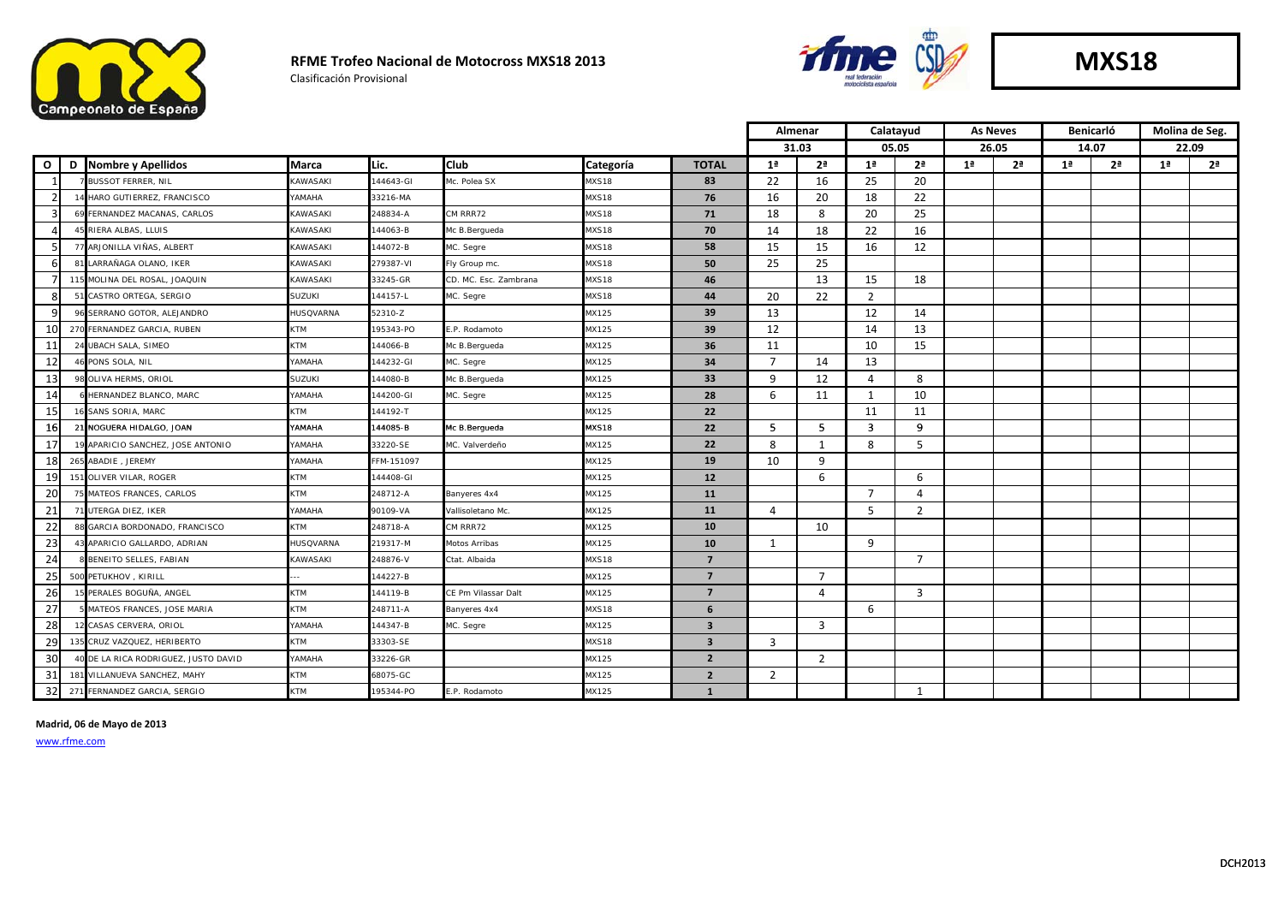

Clasificación Provisional



|               |                                      |                        |            | Almenar               |           |                         |                | Calatayud      |                |                | <b>As Neves</b> | <b>Benicarló</b> |                |                | Molina de Seg. |                |
|---------------|--------------------------------------|------------------------|------------|-----------------------|-----------|-------------------------|----------------|----------------|----------------|----------------|-----------------|------------------|----------------|----------------|----------------|----------------|
|               |                                      |                        |            |                       |           |                         |                | 31.03          | 05.05          |                |                 | 26.05            | 14.07          |                |                | 22.09          |
| $\mathbf{o}$  | D Nombre y Apellidos                 | <b>Marca</b>           | Lic.       | <b>Club</b>           | Categoría | <b>TOTAL</b>            | 1 <sup>a</sup> | 2 <sup>a</sup> | 1 <sup>a</sup> | 2 <sup>a</sup> | 1 <sup>a</sup>  | 2 <sup>a</sup>   | 1 <sup>a</sup> | 2 <sup>a</sup> | 1 <sup>a</sup> | 2 <sup>a</sup> |
|               | <b>BUSSOT FERRER, NIL</b>            | <b>KAWASAKI</b>        | 144643-GI  | Mc. Polea SX          | MXS18     | 83                      | 22             | 16             | 25             | 20             |                 |                  |                |                |                |                |
| $\mathcal{P}$ | 14 HARO GUTIERREZ, FRANCISCO         | <b>AMAHA</b>           | 33216-MA   |                       | MXS18     | 76                      | 16             | 20             | 18             | 22             |                 |                  |                |                |                |                |
| З             | 69 FERNANDEZ MACANAS, CARLOS         | <b>KAWASAKI</b>        | 248834-A   | CM RRR72              | MXS18     | 71                      | 18             | 8              | 20             | 25             |                 |                  |                |                |                |                |
| Δ             | 45 RIERA ALBAS, LLUIS                | <b>KAWASAKI</b>        | 144063-B   | Mc B.Bergueda         | MXS18     | 70                      | 14             | 18             | 22             | 16             |                 |                  |                |                |                |                |
| 5             | 77 ARJONILLA VIÑAS, ALBERT           | <b><i>KAWASAKI</i></b> | 144072-B   | AC. Segre             | MXS18     | 58                      | 15             | 15             | 16             | 12             |                 |                  |                |                |                |                |
| 6             | 81 LARRAÑAGA OLANO, IKER             | <b><i>KAWASAKI</i></b> | 279387-VI  | ly Group mc.          | MXS18     | 50                      | 25             | 25             |                |                |                 |                  |                |                |                |                |
|               | 115 MOLINA DEL ROSAL, JOAQUIN        | KAWASAKI               | 33245-GR   | CD, MC, Esc, Zambrana | MXS18     | 46                      |                | 13             | 15             | 18             |                 |                  |                |                |                |                |
| 8             | 51 CASTRO ORTEGA, SERGIO             | SUZUKI                 | 144157-L   | AC. Segre             | MXS18     | 44                      | 20             | 22             | $\overline{2}$ |                |                 |                  |                |                |                |                |
| q             | 96 SERRANO GOTOR, ALEJANDRO          | <b>HUSQVARNA</b>       | 52310-Z    |                       | MX125     | 39                      | 13             |                | 12             | 14             |                 |                  |                |                |                |                |
| 10            | 270 FERNANDEZ GARCIA, RUBEN          | KTM                    | 195343-PO  | E.P. Rodamoto         | MX125     | 39                      | 12             |                | 14             | 13             |                 |                  |                |                |                |                |
| 11            | 24 UBACH SALA, SIMEO                 | <b>KTM</b>             | 144066-B   | Mc B.Bergueda         | MX125     | 36                      | 11             |                | 10             | 15             |                 |                  |                |                |                |                |
| 12            | PONS SOLA, NIL                       | YAMAHA                 | 144232-GI  | <b>MC.</b> Segre      | MX125     | 34                      | $\overline{7}$ | 14             | 13             |                |                 |                  |                |                |                |                |
| 13            | OLIVA HERMS, ORIOL                   | <b>SUZUKI</b>          | 144080-B   | Mc B.Bergueda         | MX125     | 33                      | 9              | 12             | $\overline{4}$ | 8              |                 |                  |                |                |                |                |
| 14            | HERNANDEZ BLANCO, MARC               | <b>AMAHA</b>           | 144200-GI  | AC. Segre             | MX125     | 28                      | 6              | 11             | 1              | 10             |                 |                  |                |                |                |                |
| 15            | 16 SANS SORIA, MARC                  | <b>KTM</b>             | 144192-T   |                       | MX125     | 22                      |                |                | 11             | 11             |                 |                  |                |                |                |                |
| 16            | 21 NOGUERA HIDALGO, JOAN             | YAMAHA                 | 144085-B   | Mc B.Bergueda         | MXS18     | 22                      | 5              | 5              | 3              | 9              |                 |                  |                |                |                |                |
| 17            | 9 APARICIO SANCHEZ, JOSE ANTONIO     | YAMAHA                 | 33220-SE   | MC. Valverdeño        | MX125     | 22                      | 8              | 1              | 8              | 5              |                 |                  |                |                |                |                |
| 18            | 265 ABADIE, JEREMY                   | <b>AMAHA</b>           | FFM-151097 |                       | MX125     | 19                      | 10             | 9              |                |                |                 |                  |                |                |                |                |
| 19            | 151 OLIVER VILAR, ROGER              | <b>KTM</b>             | 144408-GI  |                       | MX125     | 12                      |                | 6              |                | 6              |                 |                  |                |                |                |                |
| 20            | MATEOS FRANCES, CARLOS               | <b>KTM</b>             | 248712-A   | Banyeres 4x4          | MX125     | 11                      |                |                | $\overline{7}$ | 4              |                 |                  |                |                |                |                |
| 21            | 71 UTERGA DIEZ, IKER                 | YAMAHA                 | 90109-VA   | Vallisoletano Mc.     | MX125     | 11                      | 4              |                | 5              | $\overline{2}$ |                 |                  |                |                |                |                |
| 22            | 88 GARCIA BORDONADO, FRANCISCO       | <b>KTM</b>             | 248718-A   | CM RRR72              | MX125     | 10                      |                | 10             |                |                |                 |                  |                |                |                |                |
| 23            | 43 APARICIO GALLARDO, ADRIAN         | HUSQVARNA              | 219317-M   | <b>Motos Arribas</b>  | MX125     | 10                      | $\mathbf{1}$   |                | 9              |                |                 |                  |                |                |                |                |
| 24            | BENEITO SELLES, FABIAN               | KAWASAKI               | 248876-V   | Ctat. Albaida         | MXS18     | $\overline{7}$          |                |                |                | $\overline{7}$ |                 |                  |                |                |                |                |
| 25            | 500 PETUKHOV, KIRILL                 |                        | 144227-B   |                       | MX125     | $\overline{7}$          |                | $\overline{7}$ |                |                |                 |                  |                |                |                |                |
| 26            | 15 PERALES BOGUÑA, ANGEL             | <b>KTM</b>             | 144119-B   | CE Pm Vilassar Dalt   | MX125     | $\overline{7}$          |                | $\overline{4}$ |                | $\overline{3}$ |                 |                  |                |                |                |                |
| 27            | MATEOS FRANCES, JOSE MARIA           | KTM                    | 248711-A   | Banyeres 4x4          | MXS18     | 6                       |                |                | 6              |                |                 |                  |                |                |                |                |
| 28            | 2 CASAS CERVERA, ORIOL               | YAMAHA                 | 144347-B   | <b>MC.</b> Segre      | MX125     | $\overline{\mathbf{3}}$ |                | $\overline{3}$ |                |                |                 |                  |                |                |                |                |
| 29            | 135 CRUZ VAZQUEZ, HERIBERTO          | KTM                    | 33303-SE   |                       | MXS18     | $\overline{\mathbf{3}}$ | 3              |                |                |                |                 |                  |                |                |                |                |
| 30            | 40 DE LA RICA RODRIGUEZ, JUSTO DAVID | YAMAHA                 | 33226-GR   |                       | MX125     | $\mathbf{2}$            |                | $\overline{2}$ |                |                |                 |                  |                |                |                |                |
| 31            | 181 VILLANUEVA SANCHEZ, MAHY         | <b>KTM</b>             | 68075-GC   |                       | MX125     | $\overline{2}$          | 2              |                |                |                |                 |                  |                |                |                |                |
| 32            | 271 FERNANDEZ GARCIA, SERGIO         | <b>KTM</b>             | 195344-PO  | .P. Rodamoto          | MX125     | $\mathbf{1}$            |                |                |                | $\mathbf{1}$   |                 |                  |                |                |                |                |

**Madrid, 06 de Mayo de 2013**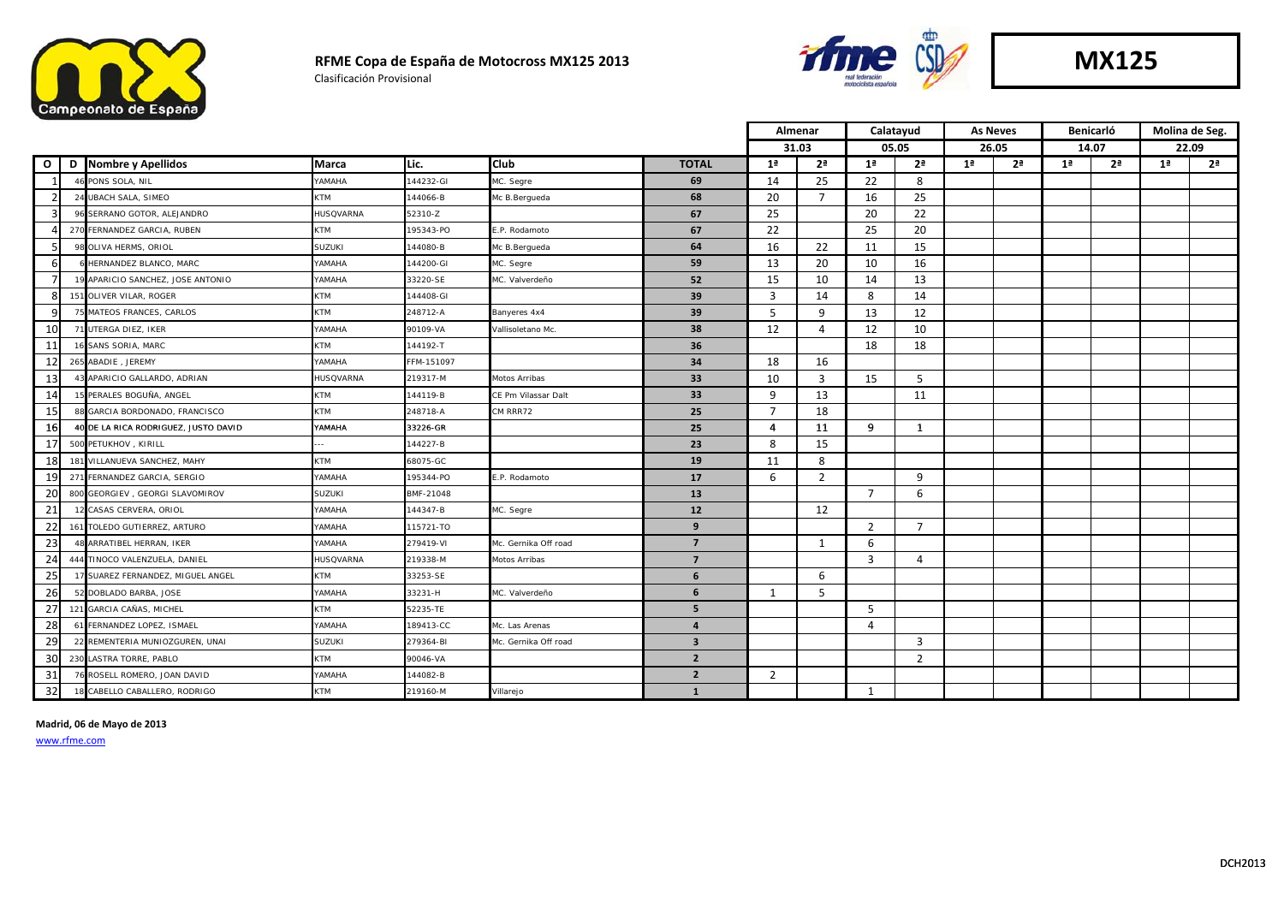

#### **RFME Copa de España de Motocross MX125 2013**

Clasificación Provisional



|              |   |                                      |                  |            |                      |                         | Almenar        |                | Calatayud      |                | <b>As Neves</b> |                | <b>Benicarló</b> |                | Molina de Seg. |                |
|--------------|---|--------------------------------------|------------------|------------|----------------------|-------------------------|----------------|----------------|----------------|----------------|-----------------|----------------|------------------|----------------|----------------|----------------|
|              |   |                                      |                  |            |                      |                         |                | 31.03          | 05.05          |                | 26.05           |                | 14.07            |                | 22.09          |                |
| $\mathbf{o}$ | D | <b>Nombre y Apellidos</b>            | <b>Marca</b>     | Lic.       | <b>Club</b>          | <b>TOTAL</b>            | 1 <sup>a</sup> | 2 <sup>a</sup> | 1 <sup>a</sup> | 2 <sup>a</sup> | 1 <sup>a</sup>  | 2 <sup>a</sup> | 1 <sup>a</sup>   | 2 <sup>a</sup> | 1 <sup>a</sup> | 2 <sup>a</sup> |
|              |   | PONS SOLA, NIL                       | <b>AMAHA</b>     | 144232-GI  | MC. Segre            | 69                      | 14             | 25             | 22             | 8              |                 |                |                  |                |                |                |
|              |   | 24 UBACH SALA, SIMEO                 | KTM              | 144066-B   | Mc B.Berqueda        | 68                      | 20             | $\overline{7}$ | 16             | 25             |                 |                |                  |                |                |                |
| 3            |   | 96 SERRANO GOTOR, ALEJANDRO          | HUSQVARNA        | 52310-Z    |                      | 67                      | 25             |                | 20             | 22             |                 |                |                  |                |                |                |
|              |   | 270 FERNANDEZ GARCIA, RUBEN          | KTM              | 195343-PO  | E.P. Rodamoto        | 67                      | 22             |                | 25             | 20             |                 |                |                  |                |                |                |
|              |   | 98 OLIVA HERMS, ORIOL                | <b>SUZUKI</b>    | 144080-B   | Mc B.Bergueda        | 64                      | 16             | 22             | 11             | 15             |                 |                |                  |                |                |                |
| 6            |   | 6 HERNANDEZ BLANCO, MARC             | AHAMAY           | 144200-GI  | MC. Segre            | 59                      | 13             | 20             | 10             | 16             |                 |                |                  |                |                |                |
| 7            |   | 19 APARICIO SANCHEZ, JOSE ANTONIO    | AHAMAY           | 33220-SE   | MC. Valverdeño       | 52                      | 15             | 10             | 14             | 13             |                 |                |                  |                |                |                |
| 8            |   | 151 OLIVER VILAR, ROGER              | KTM              | 144408-GI  |                      | 39                      | 3              | 14             | 8              | 14             |                 |                |                  |                |                |                |
| q            |   | 75 MATEOS FRANCES, CARLOS            | <b>KTM</b>       | 248712-A   | Banyeres 4x4         | 39                      | .5             | 9              | 13             | 12             |                 |                |                  |                |                |                |
| 10           |   | 71 UTERGA DIEZ, IKER                 | YAMAHA           | 90109-VA   | Vallisoletano Mc.    | 38                      | 12             | $\overline{4}$ | 12             | 10             |                 |                |                  |                |                |                |
| 11           |   | 16 SANS SORIA, MARC                  | KTM              | 144192-T   |                      | 36                      |                |                | 18             | 18             |                 |                |                  |                |                |                |
| 12           |   | 265 ABADIE, JEREMY                   | YAMAHA           | FFM-151097 |                      | 34                      | 18             | 16             |                |                |                 |                |                  |                |                |                |
| 13           |   | 43 APARICIO GALLARDO, ADRIAN         | <b>HUSQVARNA</b> | 219317-M   | Motos Arribas        | 33                      | 10             | $\overline{3}$ | 15             | 5              |                 |                |                  |                |                |                |
| 14           |   | 15 PERALES BOGUÑA, ANGEL             | KTM              | 144119-B   | CE Pm Vilassar Dalt  | 33                      | 9              | 13             |                | 11             |                 |                |                  |                |                |                |
| 15           |   | 88 GARCIA BORDONADO, FRANCISCO       | <b>KTM</b>       | 248718-A   | CM RRR72             | 25                      | $\overline{7}$ | 18             |                |                |                 |                |                  |                |                |                |
| 16           |   | 40 DE LA RICA RODRIGUEZ, JUSTO DAVID | YAMAHA           | 33226-GR   |                      | 25                      | 4              | 11             | 9              | 1              |                 |                |                  |                |                |                |
| 17           |   | 500 PETUKHOV, KIRILL                 |                  | 144227-B   |                      | 23                      | 8              | 15             |                |                |                 |                |                  |                |                |                |
| 18           |   | 181 VILLANUEVA SANCHEZ, MAHY         | KTM              | 68075-GC   |                      | 19                      | 11             | 8              |                |                |                 |                |                  |                |                |                |
| 19           |   | 271 FERNANDEZ GARCIA, SERGIO         | YAMAHA           | 195344-PO  | E.P. Rodamoto        | 17                      | 6              | $\overline{2}$ |                | 9              |                 |                |                  |                |                |                |
| 20           |   | 800 GEORGIEV, GEORGI SLAVOMIROV      | SUZUKI           | BMF-21048  |                      | 13                      |                |                | $\overline{7}$ | 6              |                 |                |                  |                |                |                |
| 21           |   | 12 CASAS CERVERA, ORIOL              | <b>AMAHA</b>     | 144347-B   | MC. Segre            | 12                      |                | 12             |                |                |                 |                |                  |                |                |                |
| 22           |   | 161 TOLEDO GUTIERREZ, ARTURO         | <b>AMAHA</b>     | 115721-TO  |                      | 9                       |                |                | $\overline{2}$ | $\overline{7}$ |                 |                |                  |                |                |                |
| 23           |   | ARRATIBEL HERRAN, IKER               | AHAMAY           | 279419-VI  | Mc. Gernika Off road | $\overline{7}$          |                | 1              | 6              |                |                 |                |                  |                |                |                |
| 24           |   | 444 TINOCO VALENZUELA, DANIEL        | HUSQVARNA        | 219338-M   | Motos Arribas        | $\overline{7}$          |                |                | 3              | 4              |                 |                |                  |                |                |                |
| 25           |   | 17 SUAREZ FERNANDEZ, MIGUEL ANGEL    | KTM              | 33253-SE   |                      | 6                       |                | 6              |                |                |                 |                |                  |                |                |                |
| 26           |   | 52 DOBLADO BARBA, JOSE               | YAMAHA           | 33231-H    | MC. Valverdeño       | 6                       | 1              | 5              |                |                |                 |                |                  |                |                |                |
| 27           |   | 121 GARCIA CAÑAS, MICHEL             | KTM              | 52235-TE   |                      | 5                       |                |                | 5              |                |                 |                |                  |                |                |                |
| 28           |   | 61 FERNANDEZ LOPEZ, ISMAEL           | YAMAHA           | 189413-CC  | Mc. Las Arenas       | $\overline{a}$          |                |                | $\overline{4}$ |                |                 |                |                  |                |                |                |
| 29           |   | 22 REMENTERIA MUNIOZGUREN, UNAI      | <b>SUZUKI</b>    | 279364-BI  | Mc. Gernika Off road | $\overline{\mathbf{3}}$ |                |                |                | 3              |                 |                |                  |                |                |                |
| 30           |   | 230 LASTRA TORRE, PABLO              | KTM              | 90046-VA   |                      | $\overline{2}$          |                |                |                | $\overline{2}$ |                 |                |                  |                |                |                |
| 31           |   | ROSELL ROMERO, JOAN DAVID            | YAMAHA           | 144082-B   |                      | $\overline{2}$          | 2              |                |                |                |                 |                |                  |                |                |                |
| 32           |   | CABELLO CABALLERO, RODRIGO           | <b>KTM</b>       | 219160-M   | Villarejo            | $\mathbf{1}$            |                |                | $\mathbf{1}$   |                |                 |                |                  |                |                |                |

**Madrid, 06 de Mayo de 2013**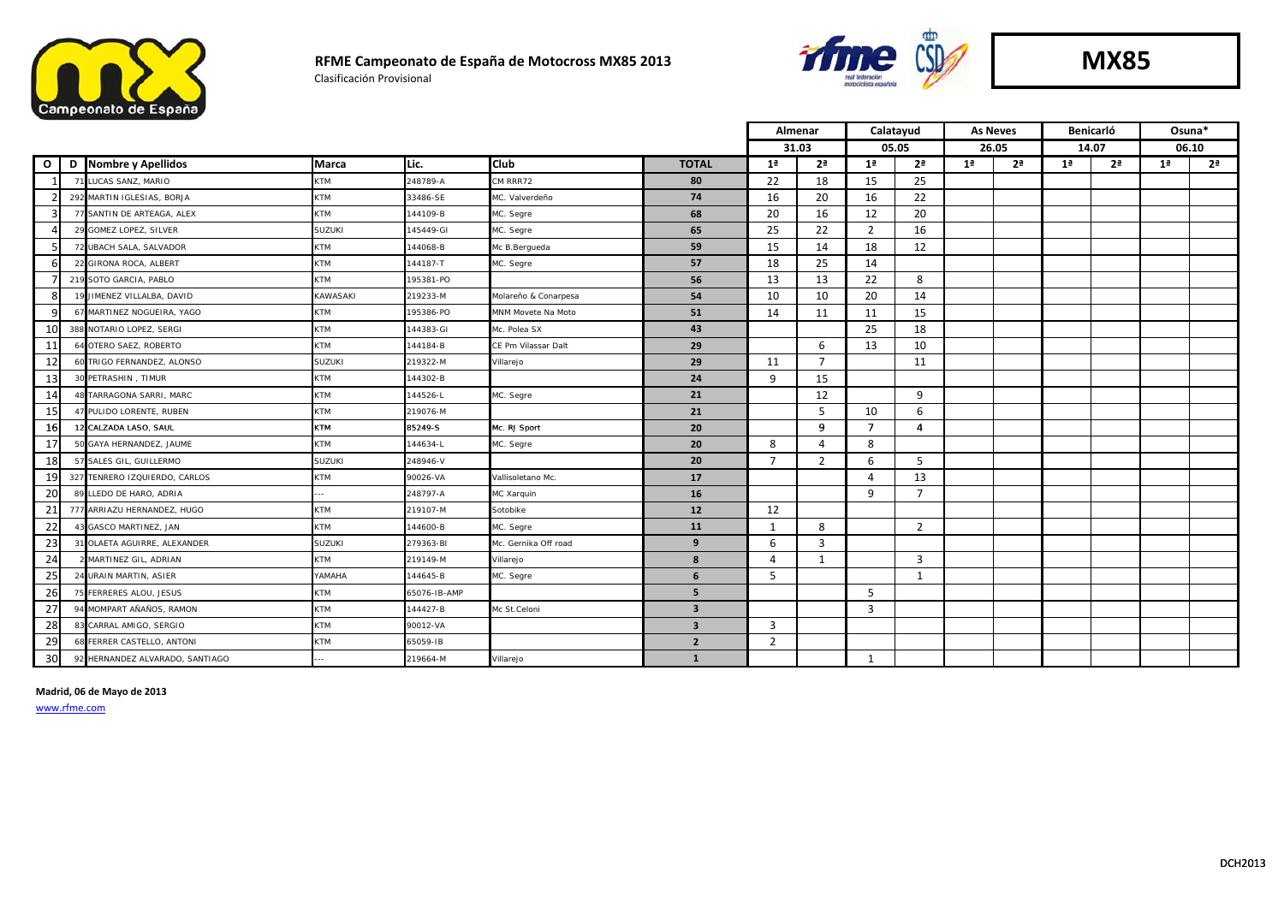

#### **RFME Campeonato de España de Motocross MX85 2013** Clasificación Provisional



**MX85**

|              |   |                                 |               |              | Almenar              |                         | Calatayud      |                | <b>As Neves</b> |                | Benicarló      |                | Osuna*         |                |                |                |
|--------------|---|---------------------------------|---------------|--------------|----------------------|-------------------------|----------------|----------------|-----------------|----------------|----------------|----------------|----------------|----------------|----------------|----------------|
|              |   |                                 |               |              |                      |                         |                | 31.03          |                 | 05.05          | 26.05          |                | 14.07          |                | 06.10          |                |
| $\mathbf{o}$ | D | Nombre y Apellidos              | Marca         | Lic.         | <b>Club</b>          | <b>TOTAL</b>            | 1 <sup>a</sup> | 2 <sup>a</sup> | 1 <sup>a</sup>  | 2 <sup>a</sup> | 1 <sup>a</sup> | 2 <sup>a</sup> | 1 <sup>a</sup> | 2 <sup>a</sup> | 1 <sup>a</sup> | 2 <sup>a</sup> |
|              |   | LUCAS SANZ, MARIO               | KTM           | 248789-A     | CM RRR72             | 80                      | 22             | 18             | 15              | 25             |                |                |                |                |                |                |
|              |   | 292 MARTIN IGLESIAS, BORJA      | KTM           | 33486-SE     | MC. Valverdeño       | 74                      | 16             | 20             | 16              | 22             |                |                |                |                |                |                |
|              |   | 77 SANTIN DE ARTEAGA, ALEX      | <b>KTM</b>    | 144109-B     | MC. Segre            | 68                      | 20             | 16             | 12              | 20             |                |                |                |                |                |                |
|              |   | 29 GOMEZ LOPEZ, SILVER          | <b>SUZUKI</b> | 145449-GI    | MC. Segre            | 65                      | 25             | 22             | $\overline{2}$  | 16             |                |                |                |                |                |                |
|              |   | 72 UBACH SALA, SALVADOR         | <b>KTM</b>    | 144068-B     | Mc B.Berqueda        | 59                      | 15             | 14             | 18              | 12             |                |                |                |                |                |                |
|              |   | 22 GIRONA ROCA, ALBERT          | <b>KTM</b>    | 144187-T     | MC. Segre            | 57                      | 18             | 25             | 14              |                |                |                |                |                |                |                |
|              |   | 219 SOTO GARCIA, PABLO          | <b>KTM</b>    | 195381-PO    |                      | 56                      | 13             | 13             | 22              | 8              |                |                |                |                |                |                |
|              |   | 19 JIMENEZ VILLALBA, DAVID      | KAWASAKI      | 219233-M     | Molareño & Conarpesa | 54                      | 10             | 10             | 20              | 14             |                |                |                |                |                |                |
|              | 6 | MARTINEZ NOGUEIRA, YAGO         | KTM           | 195386-PO    | MNM Movete Na Moto   | 51                      | 14             | 11             | 11              | 15             |                |                |                |                |                |                |
| 10           |   | 388 NOTARIO LOPEZ, SERGI        | KTM           | 144383-GI    | Mc. Polea SX         | 43                      |                |                | 25              | 18             |                |                |                |                |                |                |
| 11           |   | 4 OTERO SAEZ, ROBERTO           | KTM           | 144184-B     | CE Pm Vilassar Dalt  | 29                      |                | 6              | 13              | 10             |                |                |                |                |                |                |
| 12           |   | 60 TRIGO FERNANDEZ, ALONSO      | SUZUKI        | 219322-M     | Villarejo            | 29                      | 11             | $\overline{7}$ |                 | 11             |                |                |                |                |                |                |
| 13           |   | 30 PETRASHIN, TIMUR             | KTM           | 144302-B     |                      | 24                      | 9              | 15             |                 |                |                |                |                |                |                |                |
| 14           |   | <b>TARRAGONA SARRI, MARC</b>    | <b>KTM</b>    | 144526-L     | MC. Segre            | 21                      |                | 12             |                 | 9              |                |                |                |                |                |                |
| 15           |   | 47 PULIDO LORENTE, RUBEN        | KTM           | 219076-M     |                      | 21                      |                | 5              | 10              | 6              |                |                |                |                |                |                |
| 16           |   | 12 CALZADA LASO, SAUL           | <b>KTM</b>    | 85249-S      | Mc. RJ Sport         | 20                      |                | $\mathbf{Q}$   | $\overline{7}$  | $\overline{a}$ |                |                |                |                |                |                |
| 17           |   | 50 GAYA HERNANDEZ, JAUME        | <b>KTM</b>    | 144634-L     | MC. Segre            | 20                      | 8              | 4              | 8               |                |                |                |                |                |                |                |
| 18           |   | 57 SALES GIL, GUILLERMO         | SUZUKI        | 248946-V     |                      | 20                      | $\overline{7}$ | $\overline{2}$ | 6               | .5             |                |                |                |                |                |                |
| 19           |   | 327 TENRERO IZQUIERDO, CARLOS   | KTM           | 90026-VA     | Vallisoletano Mc.    | 17                      |                |                | 4               | 13             |                |                |                |                |                |                |
| 20           |   | 89 LLEDO DE HARO, ADRIA         | ÷.            | 248797-A     | MC Xarquin           | 16                      |                |                | $\mathbf{q}$    | $\overline{7}$ |                |                |                |                |                |                |
| 21           |   | 777 ARRIAZU HERNANDEZ, HUGO     | KTM           | 219107-M     | Sotobike             | 12                      | 12             |                |                 |                |                |                |                |                |                |                |
| 22           |   | GASCO MARTINEZ, JAN             | <b>KTM</b>    | 144600-B     | MC. Segre            | 11                      | -1             | 8              |                 | 2              |                |                |                |                |                |                |
| 23           |   | 31 OLAETA AGUIRRE, ALEXANDER    | <b>SUZUKI</b> | 279363-BI    | Mc. Gernika Off road | 9                       | 6              | 3              |                 |                |                |                |                |                |                |                |
| 24           |   | MARTINEZ GIL, ADRIAN            | <b>KTM</b>    | 219149-M     | Villarejo            | 8                       | $\Delta$       | 1              |                 | $\overline{3}$ |                |                |                |                |                |                |
| 25           |   | URAIN MARTIN, ASIER             | AHAMAY        | 144645-B     | MC. Segre            | 6                       | 5              |                |                 | 1              |                |                |                |                |                |                |
| 26           |   | FERRERES ALOU, JESUS            | KTM           | 65076-IB-AMP |                      | 5                       |                |                | 5               |                |                |                |                |                |                |                |
| 27           |   | <b>I MOMPART AÑAÑOS, RAMON</b>  | KTM           | 144427-B     | Mc St.Celoni         | $\overline{\mathbf{3}}$ |                |                | 3               |                |                |                |                |                |                |                |
| 28           |   | 83 CARRAL AMIGO, SERGIO         | <b>KTM</b>    | 90012-VA     |                      | $\overline{\mathbf{3}}$ | 3              |                |                 |                |                |                |                |                |                |                |
| 29           |   | FERRER CASTELLO, ANTONI         | KTM           | 55059-IB     |                      | $\overline{2}$          | $\overline{2}$ |                |                 |                |                |                |                |                |                |                |
| 30           |   | 92 HERNANDEZ ALVARADO, SANTIAGO | ÷.            | 219664-M     | Villarejo            | 1                       |                |                | 1               |                |                |                |                |                |                |                |

**Madrid, 06 de Mayo de 2013**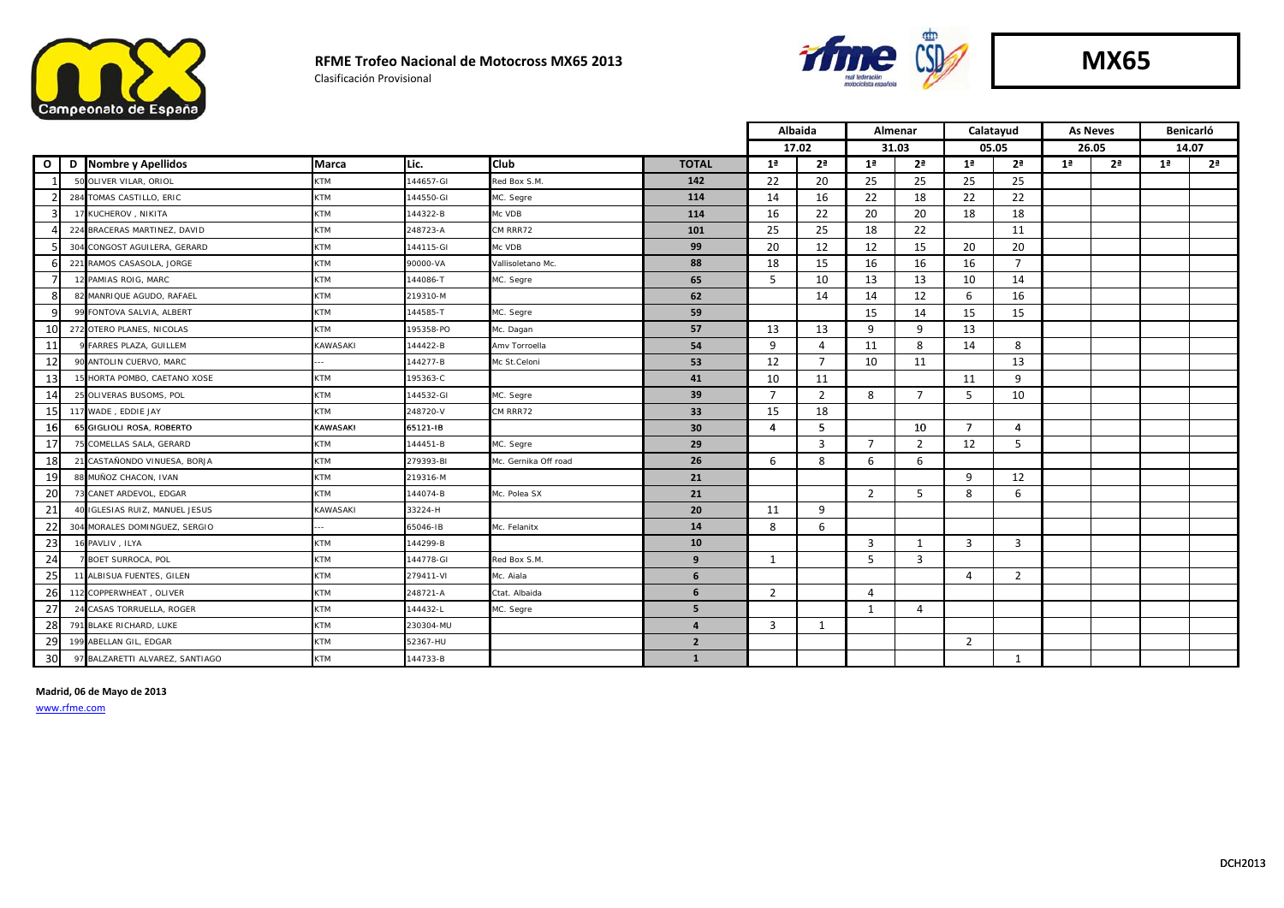

#### **RFME Trofeo Nacional de Motocross MX65 2013**

Clasificación Provisional



|              |   |                                    |                 |           |                      |                |                | Albaida        | Almenar        |                | Calatayud      |                | <b>As Neves</b> |                | Benicarló      |                |
|--------------|---|------------------------------------|-----------------|-----------|----------------------|----------------|----------------|----------------|----------------|----------------|----------------|----------------|-----------------|----------------|----------------|----------------|
|              |   |                                    |                 |           |                      |                | 17.02          |                | 31.03          |                | 05.05          |                | 26.05           |                | 14.07          |                |
| $\mathbf{o}$ | D | Nombre y Apellidos                 | Marca           | ILic.     | <b>I</b> Club        | <b>TOTAL</b>   | 1 <sup>a</sup> | 2 <sup>a</sup> | 1 <sup>a</sup> | 2 <sup>a</sup> | 1 <sup>a</sup> | 2 <sup>a</sup> | 1 <sup>a</sup>  | 2 <sup>a</sup> | 1 <sup>a</sup> | 2 <sup>a</sup> |
|              |   | 50 OLIVER VILAR, ORIOL             | KTM             | 144657-GI | Red Box S.M.         | 142            | 22             | 20             | 25             | 25             | 25             | 25             |                 |                |                |                |
|              |   | 284 TOMAS CASTILLO, ERIC           | <b>KTM</b>      | 144550-GI | MC. Segre            | 114            | 14             | 16             | 22             | 18             | 22             | 22             |                 |                |                |                |
|              |   | 17 KUCHEROV, NIKITA                | <b>KTM</b>      | 144322-B  | Mc VDB               | 114            | 16             | 22             | 20             | 20             | 18             | 18             |                 |                |                |                |
|              |   | 224 BRACERAS MARTINEZ, DAVID       | KTM             | 248723-A  | CM RRR72             | 101            | 25             | 25             | 18             | 22             |                | 11             |                 |                |                |                |
|              |   | 304 CONGOST AGUILERA, GERARD       | KTM             | 144115-GI | Mc VDB               | 99             | 20             | 12             | 12             | 15             | 20             | 20             |                 |                |                |                |
|              |   | 221 RAMOS CASASOLA, JORGE          | <b>KTM</b>      | 90000-VA  | Vallisoletano Mc.    | 88             | 18             | 15             | 16             | 16             | 16             | $\overline{7}$ |                 |                |                |                |
|              |   | 12 PAMIAS ROIG, MARC               | KTM             | 144086-T  | MC. Segre            | 65             | 5              | 10             | 13             | 13             | 10             | 14             |                 |                |                |                |
|              |   | 82 MANRIQUE AGUDO, RAFAEL          | KTM             | 219310-M  |                      | 62             |                | 14             | 14             | 12             | 6              | 16             |                 |                |                |                |
|              |   | 99 FONTOVA SALVIA, ALBERT          | <b>KTM</b>      | 144585-T  | MC. Segre            | 59             |                |                | 15             | 14             | 15             | 15             |                 |                |                |                |
| 10           |   | 272 OTERO PLANES, NICOLAS          | <b>KTM</b>      | 195358-PO | Mc. Dagan            | 57             | 13             | 13             | 9              | 9              | 13             |                |                 |                |                |                |
| 11           |   | <b>FARRES PLAZA, GUILLEM</b>       | KAWASAKI        | 144422-B  | Amy Torroella        | 54             | 9              | 4              | 11             | 8              | 14             | 8              |                 |                |                |                |
| 12           |   | 90 ANTOLIN CUERVO, MARC            |                 | 144277-B  | Mc St.Celoni         | 53             | 12             | $\overline{7}$ | 10             | 11             |                | 13             |                 |                |                |                |
| 13           |   | 5 HORTA POMBO, CAETANO XOSE        | KTM             | 195363-C  |                      | 41             | 10             | 11             |                |                | 11             | 9              |                 |                |                |                |
| 14           |   | 25 OLIVERAS BUSOMS, POL            | KTM             | 144532-GI | MC. Segre            | 39             | $\overline{7}$ | 2              | 8              | $\overline{7}$ | 5              | 10             |                 |                |                |                |
| 15I          |   | 117 WADE, EDDIE JAY                | <b>KTM</b>      | 248720-V  | CM RRR72             | 33             | 15             | 18             |                |                |                |                |                 |                |                |                |
| <b>16</b>    |   | 65 GIGLIOLI ROSA, ROBERTO          | <b>KAWASAKI</b> | 65121-IB  |                      | 30             | 4              | 5.             |                | 10             | $\overline{7}$ | 4              |                 |                |                |                |
| 17           |   | <b>COMELLAS SALA, GERARD</b>       | KTM             | 144451-B  | MC. Segre            | 29             |                | $\overline{3}$ | $\overline{7}$ | $\overline{2}$ | 12             | 5              |                 |                |                |                |
| 18           |   | 21 CASTAÑONDO VINUESA, BORJA       | KTM             | 279393-BI | Mc. Gernika Off road | 26             | 6              | 8              | 6              | 6              |                |                |                 |                |                |                |
| 19           |   | 88 MUÑOZ CHACON, IVAN              | KTM             | 219316-M  |                      | 21             |                |                |                |                | 9              | 12             |                 |                |                |                |
| 20           |   | 73 CANET ARDEVOL, EDGAR            | <b>KTM</b>      | 144074-B  | Mc. Polea SX         | 21             |                |                | 2              | 5              | 8              | 6              |                 |                |                |                |
| 21           |   | <b>IGLESIAS RUIZ, MANUEL JESUS</b> | KAWASAKI        | 33224-H   |                      | 20             | 11             | 9              |                |                |                |                |                 |                |                |                |
| 22           |   | 304 MORALES DOMINGUEZ, SERGIO      | $\sim$          | 65046-IB  | Mc. Felanitx         | 14             | 8              | 6              |                |                |                |                |                 |                |                |                |
| 23           |   | <b>6 PAVLIV, ILYA</b>              | <b>KTM</b>      | 144299-B  |                      | 10             |                |                | $\overline{3}$ | 1              | 3              | 3              |                 |                |                |                |
| 24           |   | 7 BOET SURROCA, POL                | <b>KTM</b>      | 144778-GI | Red Box S.M.         | 9              | 1              |                | 5              | $\overline{3}$ |                |                |                 |                |                |                |
| 25           |   | 1 ALBISUA FUENTES, GILEN           | KTM             | 279411-VI | Mc. Aiala            | 6              |                |                |                |                | 4              | $\overline{2}$ |                 |                |                |                |
| 26           |   | 112 COPPERWHEAT, OLIVER            | <b>KTM</b>      | 248721-A  | Ctat. Albaida        | 6              | $\overline{2}$ |                | 4              |                |                |                |                 |                |                |                |
| 27           |   | 24 CASAS TORRUELLA, ROGER          | KTM             | 144432-L  | MC. Segre            | 5              |                |                | $\mathbf{1}$   | 4              |                |                |                 |                |                |                |
| 28           |   | 791 BLAKE RICHARD, LUKE            | <b>KTM</b>      | 230304-MU |                      | $\overline{a}$ | 3              | 1              |                |                |                |                |                 |                |                |                |
| 29           |   | 199 ABELLAN GIL, EDGAR             | KTM             | 52367-HU  |                      | $\overline{2}$ |                |                |                |                | $\overline{2}$ |                |                 |                |                |                |
| 30           |   | 97 BALZARETTI ALVAREZ, SANTIAGO    | KTM             | 144733-B  |                      | $\mathbf{1}$   |                |                |                |                |                | 1              |                 |                |                |                |

**Madrid, 06 de Mayo de 2013**